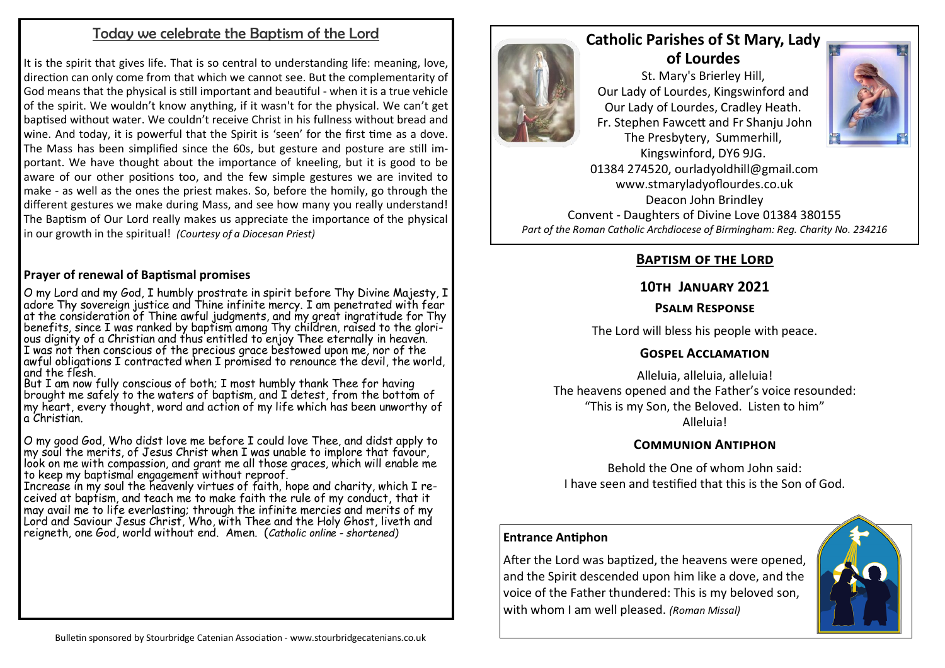# Today we celebrate the Baptism of the Lord

It is the spirit that gives life. That is so central to understanding life: meaning, love, direction can only come from that which we cannot see. But the complementarity of God means that the physical is still important and beautiful - when it is a true vehicle of the spirit. We wouldn't know anything, if it wasn't for the physical. We can't get baptised without water. We couldn't receive Christ in his fullness without bread and wine. And today, it is powerful that the Spirit is 'seen' for the first time as a dove. The Mass has been simplified since the 60s, but gesture and posture are still important. We have thought about the importance of kneeling, but it is good to be aware of our other positions too, and the few simple gestures we are invited to make - as well as the ones the priest makes. So, before the homily, go through the different gestures we make during Mass, and see how many you really understand! The Baptism of Our Lord really makes us appreciate the importance of the physical in our growth in the spiritual! *(Courtesy of a Diocesan Priest)*

## **Prayer of renewal of Baptismal promises**

O my Lord and my God, I humbly prostrate in spirit before Thy Divine Majesty, I adore Thy sovereign justice and Thine infinite mercy. I am penetrated with fear at the consideration of Thine awful judgments, and my great ingratitude for Thy benefits, since I was ranked by baptism among Thy children, raised to the glorious dignity of a Christian and thus entitled to enjoy Thee eternally in heaven. I was not then conscious of the precious grace bestowed upon me, nor of the awful obligations I contracted when I promised to renounce the devil, the world, and the flesh.

But I am now fully conscious of both; I most humbly thank Thee for having brought me safely to the waters of baptism, and I detest, from the bottom of my heart, every thought, word and action of my life which has been unworthy of a Christian.

O my good God, Who didst love me before I could love Thee, and didst apply to my soul the merits, of Jesus Christ when I was unable to implore that favour, look on me with compassion, and grant me all those graces, which will enable me to keep my baptismal engagement without reproof.

Increase in my soul the heavenly virtues of faith, hope and charity, which I received at baptism, and teach me to make faith the rule of my conduct, that it may avail me to life everlasting; through the infinite mercies and merits of my Lord and Saviour Jesus Christ, Who, with Thee and the Holy Ghost, liveth and reigneth, one God, world without end. Amen. (*Catholic online - shortened)*



# **Catholic Parishes of St Mary, Lady of Lourdes**

St. Mary's Brierley Hill, Our Lady of Lourdes, Kingswinford and Our Lady of Lourdes, Cradley Heath. Fr. Stephen Fawcett and Fr Shanju John The Presbytery, Summerhill,



Kingswinford, DY6 9JG. 01384 274520, ourladyoldhill@gmail.com www.stmaryladyoflourdes.co.uk Deacon John Brindley Convent - Daughters of Divine Love 01384 380155 *Part of the Roman Catholic Archdiocese of Birmingham: Reg. Charity No. 234216*

# **Baptism of the Lord**

## **10th January 2021**

## **Psalm Response**

The Lord will bless his people with peace.

## **Gospel Acclamation**

Alleluia, alleluia, alleluia! The heavens opened and the Father's voice resounded: "This is my Son, the Beloved. Listen to him" Alleluia!

## **Communion Antiphon**

Behold the One of whom John said: I have seen and testified that this is the Son of God.

#### **Entrance Antiphon**

After the Lord was baptized, the heavens were opened, and the Spirit descended upon him like a dove, and the voice of the Father thundered: This is my beloved son, with whom I am well pleased. *(Roman Missal)*